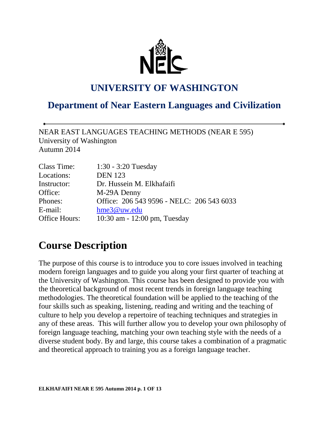

### **UNIVERSITY OF WASHINGTON**

### **Department of Near Eastern Languages and Civilization**

NEAR EAST LANGUAGES TEACHING METHODS (NEAR E 595) University of Washington Autumn 2014

| Class Time:   | $1:30 - 3:20$ Tuesday                     |
|---------------|-------------------------------------------|
| Locations:    | <b>DEN</b> 123                            |
| Instructor:   | Dr. Hussein M. Elkhafaifi                 |
| Office:       | M-29A Denny                               |
| Phones:       | Office: 206 543 9596 - NELC: 206 543 6033 |
| E-mail:       | hme3@uw.edu                               |
| Office Hours: | 10:30 am - 12:00 pm, Tuesday              |

### **Course Description**

The purpose of this course is to introduce you to core issues involved in teaching modern foreign languages and to guide you along your first quarter of teaching at the University of Washington. This course has been designed to provide you with the theoretical background of most recent trends in foreign language teaching methodologies. The theoretical foundation will be applied to the teaching of the four skills such as speaking, listening, reading and writing and the teaching of culture to help you develop a repertoire of teaching techniques and strategies in any of these areas. This will further allow you to develop your own philosophy of foreign language teaching, matching your own teaching style with the needs of a diverse student body. By and large, this course takes a combination of a pragmatic and theoretical approach to training you as a foreign language teacher.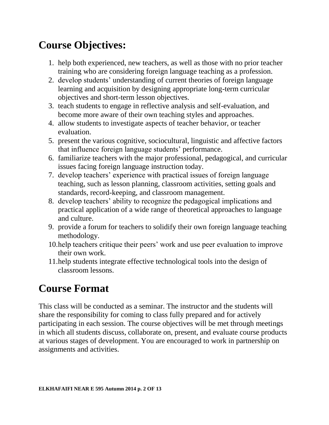# **Course Objectives:**

- 1. help both experienced, new teachers, as well as those with no prior teacher training who are considering foreign language teaching as a profession.
- 2. develop students' understanding of current theories of foreign language learning and acquisition by designing appropriate long-term curricular objectives and short-term lesson objectives.
- 3. teach students to engage in reflective analysis and self-evaluation, and become more aware of their own teaching styles and approaches.
- 4. allow students to investigate aspects of teacher behavior, or teacher evaluation.
- 5. present the various cognitive, sociocultural, linguistic and affective factors that influence foreign language students' performance.
- 6. familiarize teachers with the major professional, pedagogical, and curricular issues facing foreign language instruction today.
- 7. develop teachers' experience with practical issues of foreign language teaching, such as lesson planning, classroom activities, setting goals and standards, record-keeping, and classroom management.
- 8. develop teachers' ability to recognize the pedagogical implications and practical application of a wide range of theoretical approaches to language and culture.
- 9. provide a forum for teachers to solidify their own foreign language teaching methodology.
- 10.help teachers critique their peers' work and use peer evaluation to improve their own work.
- 11.help students integrate effective technological tools into the design of classroom lessons.

# **Course Format**

This class will be conducted as a seminar. The instructor and the students will share the responsibility for coming to class fully prepared and for actively participating in each session. The course objectives will be met through meetings in which all students discuss, collaborate on, present, and evaluate course products at various stages of development. You are encouraged to work in partnership on assignments and activities.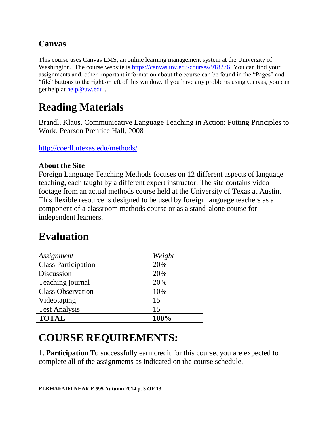### **Canvas**

This course uses Canvas LMS, an online learning management system at the University of Washington. The course website is [https://canvas.uw.edu/courses/918276.](https://canvas.uw.edu/courses/918276) You can find your assignments and. other important information about the course can be found in the "Pages" and "file" buttons to the right or left of this window. If you have any problems using Canvas, you can get help at [help@uw.edu](mailto:help@uw.edu) .

# **Reading Materials**

Brandl, Klaus. Communicative Language Teaching in Action: Putting Principles to Work. Pearson Prentice Hall, 2008

<http://coerll.utexas.edu/methods/>

#### **About the Site**

Foreign Language Teaching Methods focuses on 12 different aspects of language teaching, each taught by a different expert instructor. The site contains video footage from an actual methods course held at the University of Texas at Austin. This flexible resource is designed to be used by foreign language teachers as a component of a classroom methods course or as a stand-alone course for independent learners.

### **Evaluation**

| Assignment                 | Weight |
|----------------------------|--------|
| <b>Class Participation</b> | 20%    |
| Discussion                 | 20%    |
| Teaching journal           | 20%    |
| <b>Class Observation</b>   | 10%    |
| Videotaping                | 15     |
| <b>Test Analysis</b>       | 15     |
| <b>TOTAL</b>               | 100%   |

### **COURSE REQUIREMENTS:**

1. **Participation** To successfully earn credit for this course, you are expected to complete all of the assignments as indicated on the course schedule.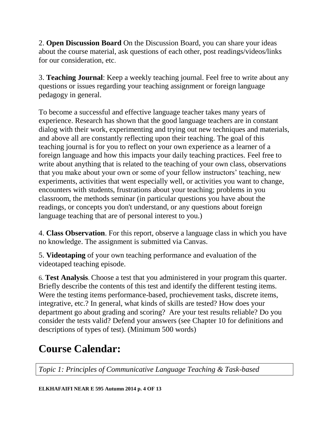2. **Open Discussion Board** On the Discussion Board, you can share your ideas about the course material, ask questions of each other, post readings/videos/links for our consideration, etc.

3. **Teaching Journal**: Keep a weekly teaching journal. Feel free to write about any questions or issues regarding your teaching assignment or foreign language pedagogy in general.

To become a successful and effective language teacher takes many years of experience. Research has shown that the good language teachers are in constant dialog with their work, experimenting and trying out new techniques and materials, and above all are constantly reflecting upon their teaching. The goal of this teaching journal is for you to reflect on your own experience as a learner of a foreign language and how this impacts your daily teaching practices. Feel free to write about anything that is related to the teaching of your own class, observations that you make about your own or some of your fellow instructors' teaching, new experiments, activities that went especially well, or activities you want to change, encounters with students, frustrations about your teaching; problems in you classroom, the methods seminar (in particular questions you have about the readings, or concepts you don't understand, or any questions about foreign language teaching that are of personal interest to you.)

4. **Class Observation**. For this report, observe a language class in which you have no knowledge. The assignment is submitted via Canvas.

5. **Videotaping** of your own teaching performance and evaluation of the videotaped teaching episode.

6. **Test Analysis**. Choose a test that you administered in your program this quarter. Briefly describe the contents of this test and identify the different testing items. Were the testing items performance-based, prochievement tasks, discrete items, integrative, etc.? In general, what kinds of skills are tested? How does your department go about grading and scoring? Are your test results reliable? Do you consider the tests valid? Defend your answers (see Chapter 10 for definitions and descriptions of types of test). (Minimum 500 words)

# **Course Calendar:**

*Topic 1: Principles of Communicative Language Teaching & Task-based*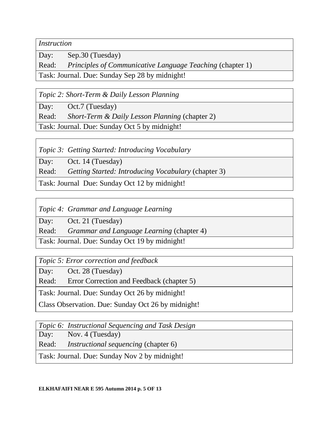*Instruction*

Day: Sep.30 (Tuesday)

Read: *Principles of Communicative Language Teaching* (chapter 1)

Task: Journal. Due: Sunday Sep 28 by midnight!

*Topic 2: Short-Term & Daily Lesson Planning*

Day: Oct.7 (Tuesday)

Read: *Short-Term & Daily Lesson Planning* (chapter 2)

Task: Journal. Due: Sunday Oct 5 by midnight!

*Topic 3: Getting Started: Introducing Vocabulary*

Day: Oct. 14 (Tuesday)

Read: *Getting Started: Introducing Vocabulary* (chapter 3)

Task: Journal Due: Sunday Oct 12 by midnight!

*Topic 4: Grammar and Language Learning*

Day: Oct. 21 (Tuesday)

Read: *Grammar and Language Learning* (chapter 4)

Task: Journal. Due: Sunday Oct 19 by midnight!

*Topic 5: Error correction and feedback*

Day: Oct. 28 (Tuesday)

Read: Error Correction and Feedback (chapter 5)

Task: Journal. Due: Sunday Oct 26 by midnight!

Class Observation. Due: Sunday Oct 26 by midnight!

*Topic 6: Instructional Sequencing and Task Design*

Day: Nov. 4 (Tuesday)

Read: *Instructional sequencing* (chapter 6)

Task: Journal. Due: Sunday Nov 2 by midnight!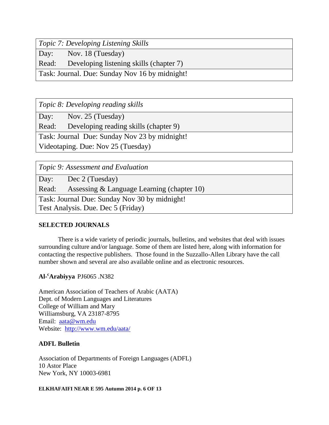*Topic 7: Developing Listening Skills*

Day: Nov. 18 (Tuesday)

Read: Developing listening skills (chapter 7)

Task: Journal. Due: Sunday Nov 16 by midnight!

*Topic 8: Developing reading skills*

Day: Nov. 25 (Tuesday)

Read: Developing reading skills (chapter 9)

Task: Journal Due: Sunday Nov 23 by midnight!

Videotaping. Due: Nov 25 (Tuesday)

*Topic 9: Assessment and Evaluation*

Day: Dec 2 (Tuesday)

Read: Assessing & Language Learning (chapter 10)

Task: Journal Due: Sunday Nov 30 by midnight!

Test Analysis. Due. Dec 5 (Friday)

#### **SELECTED JOURNALS**

There is a wide variety of periodic journals, bulletins, and websites that deal with issues surrounding culture and/or language. Some of them are listed here, along with information for contacting the respective publishers. Those found in the Suzzallo-Allen Library have the call number shown and several are also available online and as electronic resources.

#### **Al-<sup>c</sup>Arabiyya** PJ6065 .N382

American Association of Teachers of Arabic (AATA) Dept. of Modern Languages and Literatures College of William and Mary Williamsburg, VA 23187-8795 Email: [aata@wm.edu](mailto:aata@wm.edu) Website: <http://www.wm.edu/aata/>

#### **ADFL Bulletin**

Association of Departments of Foreign Languages (ADFL) 10 Astor Place New York, NY 10003-6981

#### **ELKHAFAIFI NEAR E 595 Autumn 2014 p. 6 OF 13**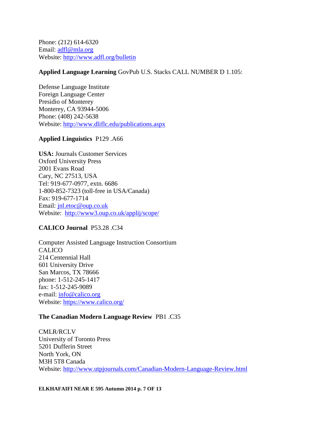Phone: (212) 614-6320 Email: [adfl@mla.org](mailto:adfl@mla.org) Website:<http://www.adfl.org/>bulletin

#### **Applied Language Learning** GovPub U.S. Stacks CALL NUMBER D 1.105:

Defense Language Institute Foreign Language Center Presidio of Monterey Monterey, CA 93944-5006 Phone: (408) 242-5638 Website:<http://www.dliflc.edu/publications.aspx>

#### **Applied Linguistics** P129 .A66

**USA:** Journals Customer Services Oxford University Press 2001 Evans Road Cary, NC 27513, USA Tel: 919-677-0977, extn. 6686 1-800-852-7323 (toll-free in USA/Canada) Fax: 919-677-1714 Email: [jnl.etoc@oup.co.uk](mailto:jnl.etoc@oup.co.uk) Website: <http://www3.oup.co.uk/applij/scope/>

#### **CALICO Journal** P53.28 .C34

Computer Assisted Language Instruction Consortium CALICO 214 Centennial Hall 601 University Drive San Marcos, TX 78666 phone: 1-512-245-1417 fax: 1-512-245-9089 e-mail: [info@calico.org](mailto:info@calico.org) Website:<https://www.calico.org/>

#### **The Canadian Modern Language Review** PB1 .C35

CMLR/RCLV University of Toronto Press 5201 Dufferin Street North York, ON M3H 5T8 Canada Website:<http://www.utpjournals.com/Canadian-Modern-Language-Review.html>

**ELKHAFAIFI NEAR E 595 Autumn 2014 p. 7 OF 13**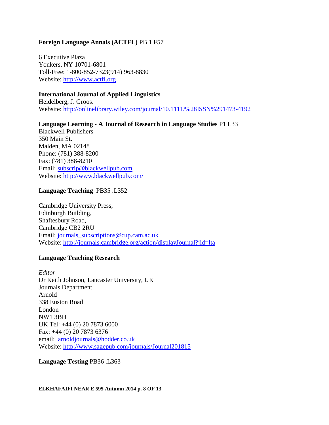#### **Foreign Language Annals (ACTFL)** PB 1 F57

6 Executive Plaza Yonkers, NY 10701-6801 Toll-Free: 1-800-852-7323(914) 963-8830 Website: [http://www.actfl.org](http://www.actfl.org/)

#### **International Journal of Applied Linguistics**

Heidelberg, J. Groos. Website:<http://onlinelibrary.wiley.com/journal/10.1111/%28ISSN%291473-4192>

#### **Language Learning - A Journal of Research in Language Studies** P1 L33

Blackwell Publishers 350 Main St. Malden, MA 02148 Phone: (781) 388-8200 Fax: (781) 388-8210 Email: [subscrip@blackwellpub.com](mailto:subscrip@blackwellpub.com) Website:<http://www.blackwellpub.com/>

#### **Language Teaching** PB35 .L352

Cambridge University Press, Edinburgh Building, Shaftesbury Road, Cambridge CB2 2RU Email: [journals\\_subscriptions@cup.cam.ac.uk](mailto:journals_subscriptions@cup.cam.ac.uk) Website:<http://journals.cambridge.org/action/displayJournal?jid=lta>

#### **Language Teaching Research**

*Editor* Dr Keith Johnson, Lancaster University, UK Journals Department Arnold 338 Euston Road London NW1 3BH UK Tel: +44 (0) 20 7873 6000 Fax: +44 (0) 20 7873 6376 email: [arnoldjournals@hodder.co.uk](mailto:arnoldjournals@hodder.co.uk) Website:<http://www.sagepub.com/journals/Journal201815>

#### **Language Testing** PB36 .L363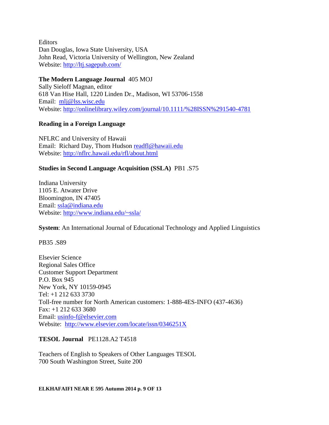Editors Dan Douglas, Iowa State University, USA John Read, Victoria University of Wellington, New Zealand Website:<http://ltj.sagepub.com/>

**The Modern Language Journal**405 MOJ Sally Sieloff Magnan, editor 618 Van Hise Hall, 1220 Linden Dr., Madison, WI 53706-1558 Email: [mlj@lss.wisc.edu](mailto:mlj@lss.wisc.edu)  Website:<http://onlinelibrary.wiley.com/journal/10.1111/%28ISSN%291540-4781>

#### **Reading in a Foreign Language**

NFLRC and University of Hawaii Email: Richard Day, Thom Hudson [readfl@hawaii.edu](mailto:readfl@hawaii.edu) Website:<http://nflrc.hawaii.edu/rfl/about.html>

#### **Studies in Second Language Acquisition (SSLA)** PB1 .S75

Indiana University 1105 E. Atwater Drive Bloomington, IN 47405 Email: [ssla@indiana.edu](mailto:ssla.indiana.edu) Website:<http://www.indiana.edu/~ssla/>

**System**: An International Journal of Educational Technology and Applied Linguistics

PB35 .S89

Elsevier Science Regional Sales Office Customer Support Department P.O. Box 945 New York, NY 10159-0945 Tel: +1 212 633 3730 Toll-free number for North American customers: 1-888-4ES-INFO (437-4636) Fax: +1 212 633 3680 Email: [usinfo-f@elsevier.com](mailto:usinfo-f@elsevier.com) Website: <http://www.elsevier.com/locate/issn/0346251X>

#### **TESOL Journal** PE1128.A2 T4518

Teachers of English to Speakers of Other Languages TESOL 700 South Washington Street, Suite 200

**ELKHAFAIFI NEAR E 595 Autumn 2014 p. 9 OF 13**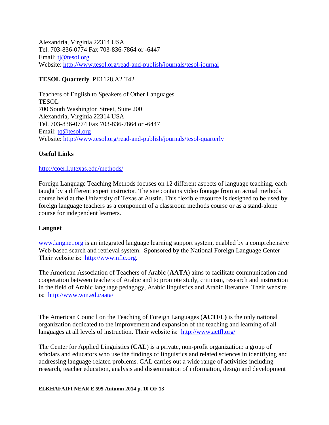Alexandria, Virginia 22314 USA Tel. 703-836-0774 Fax 703-836-7864 or -6447 Email: [tj@tesol.org](mailto:tj@tesol.org) Website:<http://www.tesol.org/read-and-publish/journals/tesol-journal>

#### **TESOL Quarterly** PE1128.A2 T42

Teachers of English to Speakers of Other Languages TESOL 700 South Washington Street, Suite 200 Alexandria, Virginia 22314 USA Tel. 703-836-0774 Fax 703-836-7864 or -6447 Email: [tq@tesol.org](mailto:publications@tesol.org) Website:<http://www.tesol.org/read-and-publish/journals/tesol-quarterly>

#### **Useful Links**

#### <http://coerll.utexas.edu/methods/>

Foreign Language Teaching Methods focuses on 12 different aspects of language teaching, each taught by a different expert instructor. The site contains video footage from an actual methods course held at the University of Texas at Austin. This flexible resource is designed to be used by foreign language teachers as a component of a classroom methods course or as a stand-alone course for independent learners.

#### **Langnet**

[www.langnet.org](http://www.langnet.org/) is an integrated language learning support system, enabled by a comprehensive Web-based search and retrieval system. Sponsored by the National Foreign Language Center Their website is: [http://www.nflc.org.](http://www.nflc.org/)

The American Association of Teachers of Arabic (**AATA**) aims to facilitate communication and cooperation between teachers of Arabic and to promote study, criticism, research and instruction in the field of Arabic language pedagogy, Arabic linguistics and Arabic literature. Their website is: <http://www.wm.edu/aata/>

The American Council on the Teaching of Foreign Languages (**ACTFL)** is the only national organization dedicated to the improvement and expansion of the teaching and learning of all languages at all levels of instruction. Their website is: <http://www.actfl.org/>

The Center for Applied Linguistics (**CAL**) is a private, non-profit organization: a group of scholars and educators who use the findings of linguistics and related sciences in identifying and addressing language-related problems. CAL carries out a wide range of activities including research, teacher education, analysis and dissemination of information, design and development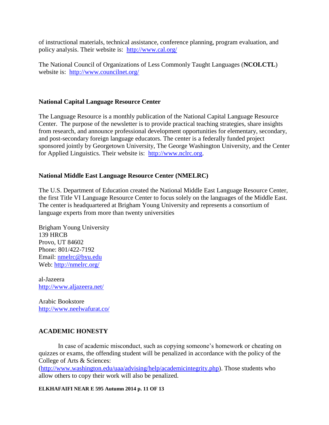of instructional materials, technical assistance, conference planning, program evaluation, and policy analysis. Their website is: <http://www.cal.org/>

The National Council of Organizations of Less Commonly Taught Languages (**NCOLCTL**) website is: <http://www.councilnet.org/>

#### **National Capital Language Resource Center**

The Language Resource is a monthly publication of the National Capital Language Resource Center. The purpose of the newsletter is to provide practical teaching strategies, share insights from research, and announce professional development opportunities for elementary, secondary, and post-secondary foreign language educators. The center is a federally funded project sponsored jointly by Georgetown University, The George Washington University, and the Center for Applied Linguistics. Their website is: [http://www.nclrc.org.](http://www.nclrc.org/)

#### **National Middle East Language Resource Center (NMELRC)**

The U.S. Department of Education created the National Middle East Language Resource Center, the first Title VI Language Resource Center to focus solely on the languages of the Middle East. The center is headquartered at Brigham Young University and represents a consortium of language experts from more than twenty universities

Brigham Young University 139 HRCB Provo, UT 84602 Phone: 801/422-7192 Email: [nmelrc@byu.edu](mailto:nmelrc@byu.edu) Web:<http://nmelrc.org/>

al-Jazeera <http://www.aljazeera.net/>

Arabic Bookstore <http://www.neelwafurat.co/>

#### **ACADEMIC HONESTY**

In case of academic misconduct, such as copying someone's homework or cheating on quizzes or exams, the offending student will be penalized in accordance with the policy of the College of Arts & Sciences:

[\(http://www.washington.edu/uaa/advising/help/academicintegrity.php\)](http://www.washington.edu/uaa/advising/help/academicintegrity.php). Those students who allow others to copy their work will also be penalized.

#### **ELKHAFAIFI NEAR E 595 Autumn 2014 p. 11 OF 13**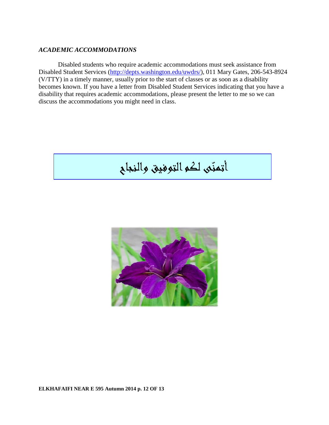#### *ACADEMIC ACCOMMODATIONS*

Disabled students who require academic accommodations must seek assistance from Disabled Student Services [\(http://depts.washington.edu/uwdrs/\)](http://depts.washington.edu/uwdrs/), 011 Mary Gates, 206-543-8924 (V/TTY) in a timely manner, usually prior to the start of classes or as soon as a disability becomes known. If you have a letter from Disabled Student Services indicating that you have a disability that requires academic accommodations, please present the letter to me so we can discuss the accommodations you might need in class.

# أتمنّى لكو التوفيق والنجاح